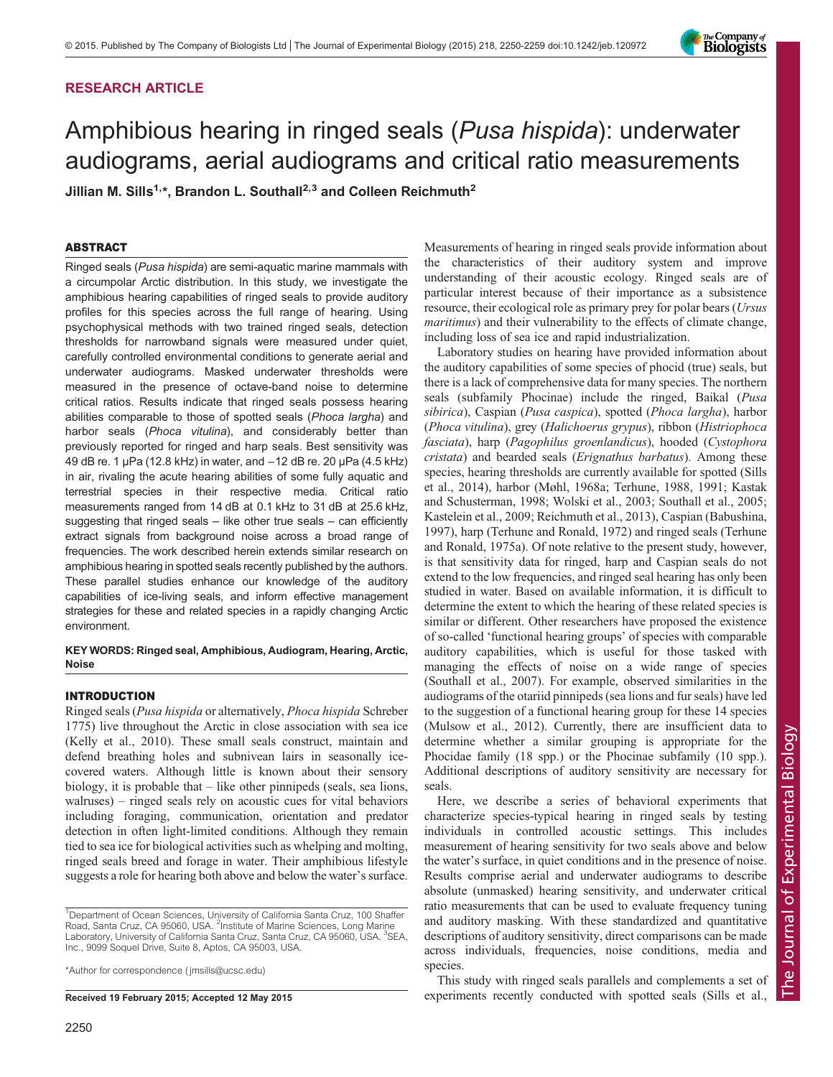# RESEARCH ARTICLE

# Amphibious hearing in ringed seals (Pusa hispida): underwater audiograms, aerial audiograms and critical ratio measurements

Jillian M. Sills<sup>1,\*</sup>, Brandon L. Southall<sup>2,3</sup> and Colleen Reichmuth<sup>2</sup>

# ABSTRACT

Ringed seals (Pusa hispida) are semi-aquatic marine mammals with a circumpolar Arctic distribution. In this study, we investigate the amphibious hearing capabilities of ringed seals to provide auditory profiles for this species across the full range of hearing. Using psychophysical methods with two trained ringed seals, detection thresholds for narrowband signals were measured under quiet, carefully controlled environmental conditions to generate aerial and underwater audiograms. Masked underwater thresholds were measured in the presence of octave-band noise to determine critical ratios. Results indicate that ringed seals possess hearing abilities comparable to those of spotted seals (Phoca largha) and harbor seals (Phoca vitulina), and considerably better than previously reported for ringed and harp seals. Best sensitivity was 49 dB re. 1 µPa (12.8 kHz) in water, and −12 dB re. 20 µPa (4.5 kHz) in air, rivaling the acute hearing abilities of some fully aquatic and terrestrial species in their respective media. Critical ratio measurements ranged from 14 dB at 0.1 kHz to 31 dB at 25.6 kHz, suggesting that ringed seals – like other true seals – can efficiently extract signals from background noise across a broad range of frequencies. The work described herein extends similar research on amphibious hearing in spotted seals recently published by the authors. These parallel studies enhance our knowledge of the auditory capabilities of ice-living seals, and inform effective management strategies for these and related species in a rapidly changing Arctic environment.

KEY WORDS: Ringed seal, Amphibious, Audiogram, Hearing, Arctic, Noise

# INTRODUCTION

Ringed seals (Pusa hispida or alternatively, Phoca hispida Schreber 1775) live throughout the Arctic in close association with sea ice [\(Kelly et al., 2010\)](#page-8-0). These small seals construct, maintain and defend breathing holes and subnivean lairs in seasonally icecovered waters. Although little is known about their sensory biology, it is probable that – like other pinnipeds (seals, sea lions, walruses) – ringed seals rely on acoustic cues for vital behaviors including foraging, communication, orientation and predator detection in often light-limited conditions. Although they remain tied to sea ice for biological activities such as whelping and molting, ringed seals breed and forage in water. Their amphibious lifestyle suggests a role for hearing both above and below the water's surface.

<sup>1</sup>Department of Ocean Sciences, University of California Santa Cruz, 100 Shaffer Road, Santa Cruz, CA 95060, USA. <sup>2</sup>Institute of Marine Sciences, Long Marine Laboratory, University of California Santa Cruz, Santa Cruz, CA 95060, USA. <sup>3</sup>SEA, Inc., 9099 Soquel Drive, Suite 8, Aptos, CA 95003, USA.

\*Author for correspondence [\( jmsills@ucsc.edu\)](mailto:jmsills@ucsc.edu)

Measurements of hearing in ringed seals provide information about the characteristics of their auditory system and improve understanding of their acoustic ecology. Ringed seals are of particular interest because of their importance as a subsistence resource, their ecological role as primary prey for polar bears (Ursus maritimus) and their vulnerability to the effects of climate change, including loss of sea ice and rapid industrialization.

Laboratory studies on hearing have provided information about the auditory capabilities of some species of phocid (true) seals, but there is a lack of comprehensive data for many species. The northern seals (subfamily Phocinae) include the ringed, Baikal (Pusa sibirica), Caspian (Pusa caspica), spotted (Phoca largha), harbor (Phoca vitulina), grey (Halichoerus grypus), ribbon (Histriophoca fasciata), harp (Pagophilus groenlandicus), hooded (Cystophora cristata) and bearded seals (Erignathus barbatus). Among these species, hearing thresholds are currently available for spotted [\(Sills](#page-8-0) [et al., 2014](#page-8-0)), harbor ([Møhl, 1968a](#page-8-0); [Terhune, 1988, 1991](#page-9-0); [Kastak](#page-8-0) [and Schusterman, 1998](#page-8-0); [Wolski et al., 2003;](#page-9-0) [Southall et al., 2005](#page-8-0); [Kastelein et al., 2009](#page-8-0); [Reichmuth et al., 2013\)](#page-8-0), Caspian ([Babushina,](#page-8-0) [1997\)](#page-8-0), harp [\(Terhune and Ronald, 1972](#page-9-0)) and ringed seals ([Terhune](#page-9-0) [and Ronald, 1975a](#page-9-0)). Of note relative to the present study, however, is that sensitivity data for ringed, harp and Caspian seals do not extend to the low frequencies, and ringed seal hearing has only been studied in water. Based on available information, it is difficult to determine the extent to which the hearing of these related species is similar or different. Other researchers have proposed the existence of so-called 'functional hearing groups' of species with comparable auditory capabilities, which is useful for those tasked with managing the effects of noise on a wide range of species [\(Southall et al., 2007\)](#page-9-0). For example, observed similarities in the audiograms of the otariid pinnipeds (sea lions and fur seals) have led to the suggestion of a functional hearing group for these 14 species [\(Mulsow et al., 2012](#page-8-0)). Currently, there are insufficient data to determine whether a similar grouping is appropriate for the Phocidae family (18 spp.) or the Phocinae subfamily (10 spp.). Additional descriptions of auditory sensitivity are necessary for seals.

Here, we describe a series of behavioral experiments that characterize species-typical hearing in ringed seals by testing individuals in controlled acoustic settings. This includes measurement of hearing sensitivity for two seals above and below the water's surface, in quiet conditions and in the presence of noise. Results comprise aerial and underwater audiograms to describe absolute (unmasked) hearing sensitivity, and underwater critical ratio measurements that can be used to evaluate frequency tuning and auditory masking. With these standardized and quantitative descriptions of auditory sensitivity, direct comparisons can be made across individuals, frequencies, noise conditions, media and species.

This study with ringed seals parallels and complements a set of Received 19 February 2015; Accepted 12 May 2015 experiments recently conducted with spotted seals ([Sills et al.,](#page-8-0)

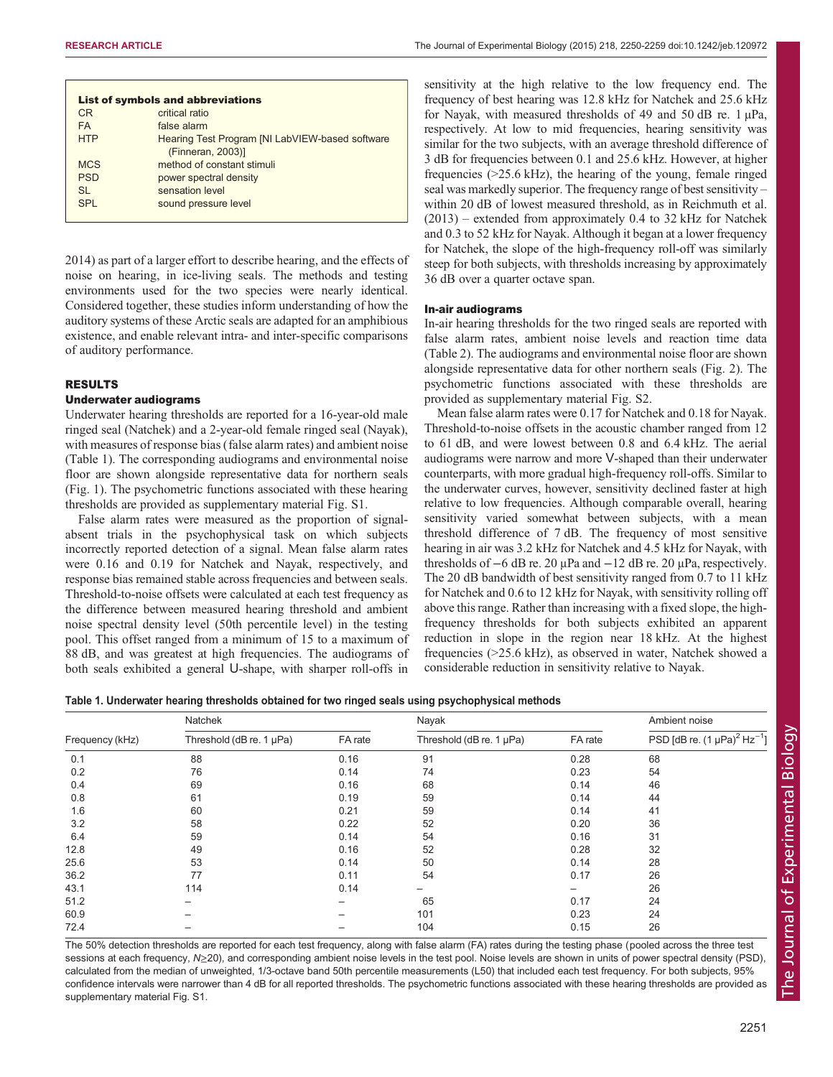|                | <b>List of symbols and abbreviations</b>                            |
|----------------|---------------------------------------------------------------------|
| C <sub>R</sub> | critical ratio                                                      |
| <b>FA</b>      | false alarm                                                         |
| <b>HTP</b>     | Hearing Test Program [NI LabVIEW-based software<br>(Finneran, 2003) |
| <b>MCS</b>     | method of constant stimuli                                          |
| <b>PSD</b>     | power spectral density                                              |
| SL             | sensation level                                                     |
| <b>SPI</b>     | sound pressure level                                                |

[2014](#page-8-0)) as part of a larger effort to describe hearing, and the effects of noise on hearing, in ice-living seals. The methods and testing environments used for the two species were nearly identical. Considered together, these studies inform understanding of how the auditory systems of these Arctic seals are adapted for an amphibious existence, and enable relevant intra- and inter-specific comparisons of auditory performance.

# RESULTS

#### Underwater audiograms

Underwater hearing thresholds are reported for a 16-year-old male ringed seal (Natchek) and a 2-year-old female ringed seal (Nayak), with measures of response bias (false alarm rates) and ambient noise (Table 1). The corresponding audiograms and environmental noise floor are shown alongside representative data for northern seals [\(Fig. 1](#page-2-0)). The psychometric functions associated with these hearing thresholds are provided as [supplementary material Fig. S1](http://jeb.biologists.org/lookup/suppl/doi:10.1242/jeb.120972/-/DC1).

False alarm rates were measured as the proportion of signalabsent trials in the psychophysical task on which subjects incorrectly reported detection of a signal. Mean false alarm rates were 0.16 and 0.19 for Natchek and Nayak, respectively, and response bias remained stable across frequencies and between seals. Threshold-to-noise offsets were calculated at each test frequency as the difference between measured hearing threshold and ambient noise spectral density level (50th percentile level) in the testing pool. This offset ranged from a minimum of 15 to a maximum of 88 dB, and was greatest at high frequencies. The audiograms of both seals exhibited a general U-shape, with sharper roll-offs in

sensitivity at the high relative to the low frequency end. The frequency of best hearing was 12.8 kHz for Natchek and 25.6 kHz for Nayak, with measured thresholds of 49 and 50 dB re.  $1 \mu Pa$ , respectively. At low to mid frequencies, hearing sensitivity was similar for the two subjects, with an average threshold difference of 3 dB for frequencies between 0.1 and 25.6 kHz. However, at higher frequencies (>25.6 kHz), the hearing of the young, female ringed seal was markedly superior. The frequency range of best sensitivity – within 20 dB of lowest measured threshold, as in [Reichmuth et al.](#page-8-0)  $(2013)$  – extended from approximately 0.4 to 32 kHz for Natchek and 0.3 to 52 kHz for Nayak. Although it began at a lower frequency for Natchek, the slope of the high-frequency roll-off was similarly steep for both subjects, with thresholds increasing by approximately 36 dB over a quarter octave span.

#### In-air audiograms

In-air hearing thresholds for the two ringed seals are reported with false alarm rates, ambient noise levels and reaction time data [\(Table 2\)](#page-2-0). The audiograms and environmental noise floor are shown alongside representative data for other northern seals [\(Fig. 2](#page-3-0)). The psychometric functions associated with these thresholds are provided as [supplementary material Fig. S2](http://jeb.biologists.org/lookup/suppl/doi:10.1242/jeb.120972/-/DC1).

Mean false alarm rates were 0.17 for Natchek and 0.18 for Nayak. Threshold-to-noise offsets in the acoustic chamber ranged from 12 to 61 dB, and were lowest between 0.8 and 6.4 kHz. The aerial audiograms were narrow and more V-shaped than their underwater counterparts, with more gradual high-frequency roll-offs. Similar to the underwater curves, however, sensitivity declined faster at high relative to low frequencies. Although comparable overall, hearing sensitivity varied somewhat between subjects, with a mean threshold difference of 7 dB. The frequency of most sensitive hearing in air was 3.2 kHz for Natchek and 4.5 kHz for Nayak, with thresholds of  $-6$  dB re. 20  $\mu$ Pa and  $-12$  dB re. 20  $\mu$ Pa, respectively. The 20 dB bandwidth of best sensitivity ranged from 0.7 to 11 kHz for Natchek and 0.6 to 12 kHz for Nayak, with sensitivity rolling off above this range. Rather than increasing with a fixed slope, the highfrequency thresholds for both subjects exhibited an apparent reduction in slope in the region near 18 kHz. At the highest frequencies (>25.6 kHz), as observed in water, Natchek showed a considerable reduction in sensitivity relative to Nayak.

| Table 1. Underwater hearing thresholds obtained for two ringed seals using psychophysical methods |  |  |  |
|---------------------------------------------------------------------------------------------------|--|--|--|
|                                                                                                   |  |  |  |

|                 | Natchek                  |         | Nayak                    | Ambient noise |                                      |
|-----------------|--------------------------|---------|--------------------------|---------------|--------------------------------------|
| Frequency (kHz) | Threshold (dB re. 1 µPa) | FA rate | Threshold (dB re. 1 µPa) | FA rate       | PSD [dB re. $(1 \mu Pa)^2 Hz^{-1}$ ] |
| 0.1             | 88                       | 0.16    | 91                       | 0.28          | 68                                   |
| 0.2             | 76                       | 0.14    | 74                       | 0.23          | 54                                   |
| 0.4             | 69                       | 0.16    | 68                       | 0.14          | 46                                   |
| 0.8             | 61                       | 0.19    | 59                       | 0.14          | 44                                   |
| 1.6             | 60                       | 0.21    | 59                       | 0.14          | 41                                   |
| 3.2             | 58                       | 0.22    | 52                       | 0.20          | 36                                   |
| 6.4             | 59                       | 0.14    | 54                       | 0.16          | 31                                   |
| 12.8            | 49                       | 0.16    | 52                       | 0.28          | 32                                   |
| 25.6            | 53                       | 0.14    | 50                       | 0.14          | 28                                   |
| 36.2            | 77                       | 0.11    | 54                       | 0.17          | 26                                   |
| 43.1            | 114                      | 0.14    |                          |               | 26                                   |
| 51.2            |                          | -       | 65                       | 0.17          | 24                                   |
| 60.9            |                          |         | 101                      | 0.23          | 24                                   |
| 72.4            |                          |         | 104                      | 0.15          | 26                                   |

The 50% detection thresholds are reported for each test frequency, along with false alarm (FA) rates during the testing phase (pooled across the three test sessions at each frequency, N≥20), and corresponding ambient noise levels in the test pool. Noise levels are shown in units of power spectral density (PSD), calculated from the median of unweighted, 1/3-octave band 50th percentile measurements (L50) that included each test frequency. For both subjects, 95% confidence intervals were narrower than 4 dB for all reported thresholds. The psychometric functions associated with these hearing thresholds are provided as [supplementary material Fig. S1.](http://jeb.biologists.org/lookup/suppl/doi:10.1242/jeb.120972/-/DC1)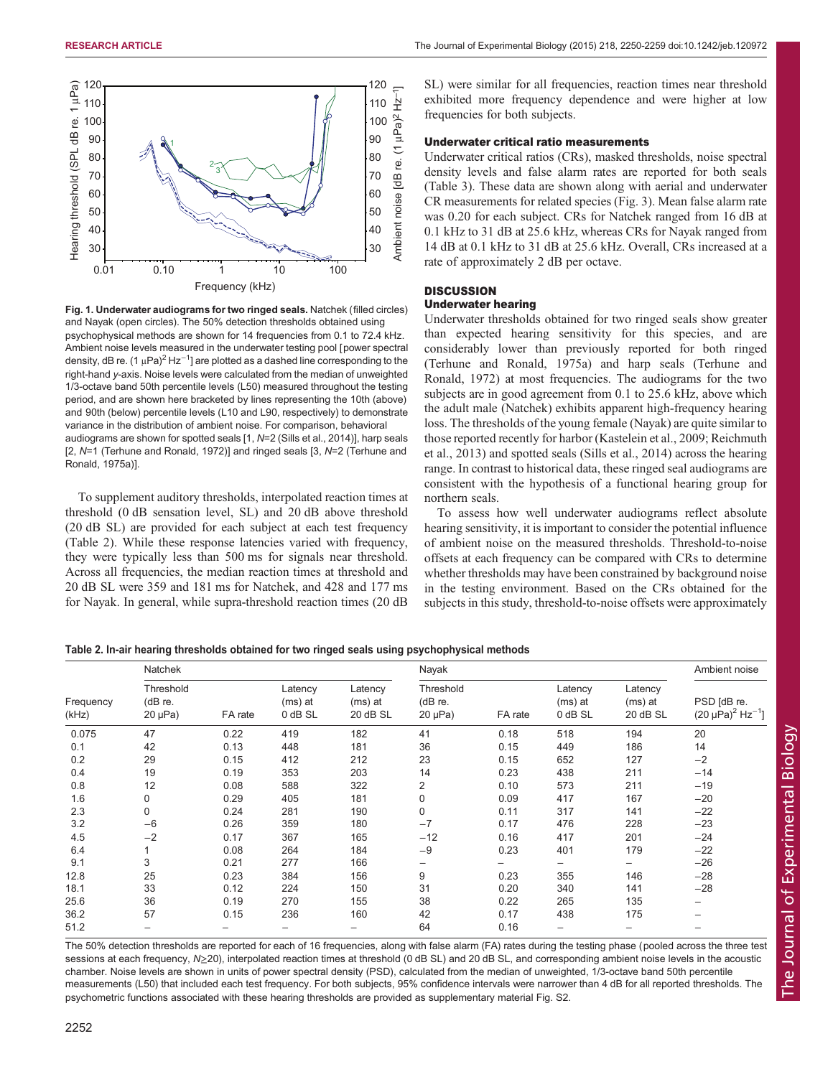<span id="page-2-0"></span>

Fig. 1. Underwater audiograms for two ringed seals. Natchek (filled circles) and Nayak (open circles). The 50% detection thresholds obtained using psychophysical methods are shown for 14 frequencies from 0.1 to 72.4 kHz. Ambient noise levels measured in the underwater testing pool [power spectral density, dB re. (1 µPa) $^2$  Hz $^{-1}$ ] are plotted as a dashed line corresponding to the right-hand y-axis. Noise levels were calculated from the median of unweighted 1/3-octave band 50th percentile levels (L50) measured throughout the testing period, and are shown here bracketed by lines representing the 10th (above) and 90th (below) percentile levels (L10 and L90, respectively) to demonstrate variance in the distribution of ambient noise. For comparison, behavioral audiograms are shown for spotted seals [1, N=2 ([Sills et al., 2014\)](#page-8-0)], harp seals [2, N=1 ([Terhune and Ronald, 1972\)](#page-9-0)] and ringed seals [3, N=2 [\(Terhune and](#page-9-0) [Ronald, 1975a](#page-9-0))].

To supplement auditory thresholds, interpolated reaction times at threshold (0 dB sensation level, SL) and 20 dB above threshold (20 dB SL) are provided for each subject at each test frequency (Table 2). While these response latencies varied with frequency, they were typically less than 500 ms for signals near threshold. Across all frequencies, the median reaction times at threshold and 20 dB SL were 359 and 181 ms for Natchek, and 428 and 177 ms for Nayak. In general, while supra-threshold reaction times (20 dB SL) were similar for all frequencies, reaction times near threshold exhibited more frequency dependence and were higher at low frequencies for both subjects.

# Underwater critical ratio measurements

Underwater critical ratios (CRs), masked thresholds, noise spectral density levels and false alarm rates are reported for both seals [\(Table 3](#page-3-0)). These data are shown along with aerial and underwater CR measurements for related species ([Fig. 3](#page-4-0)). Mean false alarm rate was 0.20 for each subject. CRs for Natchek ranged from 16 dB at 0.1 kHz to 31 dB at 25.6 kHz, whereas CRs for Nayak ranged from 14 dB at 0.1 kHz to 31 dB at 25.6 kHz. Overall, CRs increased at a rate of approximately 2 dB per octave.

#### **DISCUSSION** Underwater hearing

Underwater thresholds obtained for two ringed seals show greater than expected hearing sensitivity for this species, and are considerably lower than previously reported for both ringed [\(Terhune and Ronald, 1975a\)](#page-9-0) and harp seals ([Terhune and](#page-9-0) [Ronald, 1972](#page-9-0)) at most frequencies. The audiograms for the two subjects are in good agreement from 0.1 to 25.6 kHz, above which the adult male (Natchek) exhibits apparent high-frequency hearing loss. The thresholds of the young female (Nayak) are quite similar to those reported recently for harbor ([Kastelein et al., 2009](#page-8-0); [Reichmuth](#page-8-0) [et al., 2013](#page-8-0)) and spotted seals [\(Sills et al., 2014\)](#page-8-0) across the hearing range. In contrast to historical data, these ringed seal audiograms are consistent with the hypothesis of a functional hearing group for northern seals.

To assess how well underwater audiograms reflect absolute hearing sensitivity, it is important to consider the potential influence of ambient noise on the measured thresholds. Threshold-to-noise offsets at each frequency can be compared with CRs to determine whether thresholds may have been constrained by background noise in the testing environment. Based on the CRs obtained for the subjects in this study, threshold-to-noise offsets were approximately

The Journal of Experimental Biology

The Journal of Experimental Biology

Table 2. In-air hearing thresholds obtained for two ringed seals using psychophysical methods

|                    | Natchek                               |         |                               |                                  | Nayak                                 |         |                               |                                  |                                                     |
|--------------------|---------------------------------------|---------|-------------------------------|----------------------------------|---------------------------------------|---------|-------------------------------|----------------------------------|-----------------------------------------------------|
| Frequency<br>(kHz) | Threshold<br>(dB re.<br>$20 \mu Pa$ ) | FA rate | Latency<br>(ms) at<br>0 dB SL | Latency<br>$(ms)$ at<br>20 dB SL | Threshold<br>(dB re.<br>$20 \mu Pa$ ) | FA rate | Latency<br>(ms) at<br>0 dB SL | Latency<br>$(ms)$ at<br>20 dB SL | PSD [dB re.<br>$(20 \,\mu Pa)^2$ Hz <sup>-1</sup> ] |
| 0.075              | 47                                    | 0.22    | 419                           | 182                              | 41                                    | 0.18    | 518                           | 194                              | 20                                                  |
| 0.1                | 42                                    | 0.13    | 448                           | 181                              | 36                                    | 0.15    | 449                           | 186                              | 14                                                  |
| 0.2                | 29                                    | 0.15    | 412                           | 212                              | 23                                    | 0.15    | 652                           | 127                              | $-2$                                                |
| 0.4                | 19                                    | 0.19    | 353                           | 203                              | 14                                    | 0.23    | 438                           | 211                              | $-14$                                               |
| 0.8                | 12                                    | 0.08    | 588                           | 322                              | 2                                     | 0.10    | 573                           | 211                              | $-19$                                               |
| 1.6                | 0                                     | 0.29    | 405                           | 181                              | 0                                     | 0.09    | 417                           | 167                              | $-20$                                               |
| 2.3                | 0                                     | 0.24    | 281                           | 190                              | 0                                     | 0.11    | 317                           | 141                              | $-22$                                               |
| 3.2                | $-6$                                  | 0.26    | 359                           | 180                              | $-7$                                  | 0.17    | 476                           | 228                              | $-23$                                               |
| 4.5                | $-2$                                  | 0.17    | 367                           | 165                              | $-12$                                 | 0.16    | 417                           | 201                              | $-24$                                               |
| 6.4                |                                       | 0.08    | 264                           | 184                              | $-9$                                  | 0.23    | 401                           | 179                              | $-22$                                               |
| 9.1                | 3                                     | 0.21    | 277                           | 166                              | -                                     |         | -                             |                                  | $-26$                                               |
| 12.8               | 25                                    | 0.23    | 384                           | 156                              | 9                                     | 0.23    | 355                           | 146                              | $-28$                                               |
| 18.1               | 33                                    | 0.12    | 224                           | 150                              | 31                                    | 0.20    | 340                           | 141                              | $-28$                                               |
| 25.6               | 36                                    | 0.19    | 270                           | 155                              | 38                                    | 0.22    | 265                           | 135                              |                                                     |
| 36.2               | 57                                    | 0.15    | 236                           | 160                              | 42                                    | 0.17    | 438                           | 175                              |                                                     |
| 51.2               |                                       |         | -                             | -                                | 64                                    | 0.16    | -                             |                                  |                                                     |

The 50% detection thresholds are reported for each of 16 frequencies, along with false alarm (FA) rates during the testing phase (pooled across the three test sessions at each frequency, N≥20), interpolated reaction times at threshold (0 dB SL) and 20 dB SL, and corresponding ambient noise levels in the acoustic chamber. Noise levels are shown in units of power spectral density (PSD), calculated from the median of unweighted, 1/3-octave band 50th percentile measurements (L50) that included each test frequency. For both subjects, 95% confidence intervals were narrower than 4 dB for all reported thresholds. The psychometric functions associated with these hearing thresholds are provided as [supplementary material Fig. S2.](http://jeb.biologists.org/lookup/suppl/doi:10.1242/jeb.120972/-/DC1)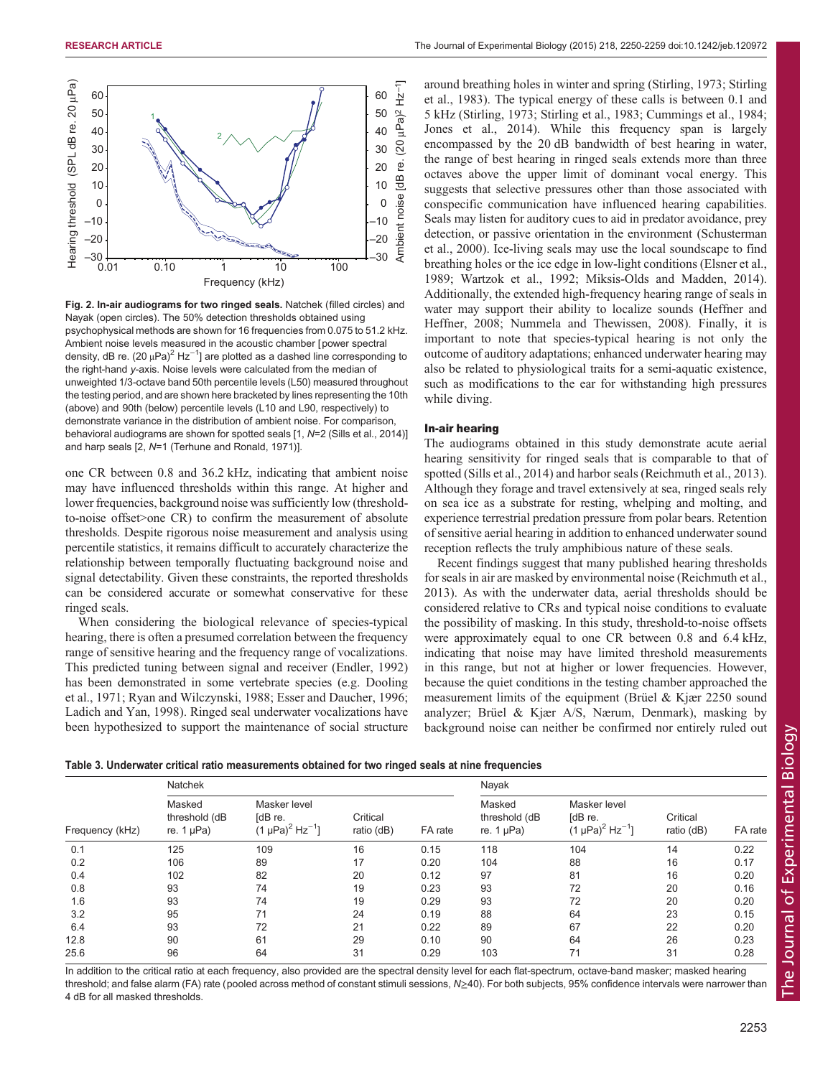<span id="page-3-0"></span>

Fig. 2. In-air audiograms for two ringed seals. Natchek (filled circles) and Nayak (open circles). The 50% detection thresholds obtained using psychophysical methods are shown for 16 frequencies from 0.075 to 51.2 kHz. Ambient noise levels measured in the acoustic chamber [power spectral density, dB re. (20 µPa)<sup>2</sup> Hz<sup>-1</sup>] are plotted as a dashed line corresponding to the right-hand y-axis. Noise levels were calculated from the median of unweighted 1/3-octave band 50th percentile levels (L50) measured throughout the testing period, and are shown here bracketed by lines representing the 10th (above) and 90th (below) percentile levels (L10 and L90, respectively) to demonstrate variance in the distribution of ambient noise. For comparison, behavioral audiograms are shown for spotted seals [1, N=2 ([Sills et al., 2014\)](#page-8-0)] and harp seals [2, N=1 ([Terhune and Ronald, 1971\)](#page-9-0)].

one CR between 0.8 and 36.2 kHz, indicating that ambient noise may have influenced thresholds within this range. At higher and lower frequencies, background noise was sufficiently low (thresholdto-noise offset>one CR) to confirm the measurement of absolute thresholds. Despite rigorous noise measurement and analysis using percentile statistics, it remains difficult to accurately characterize the relationship between temporally fluctuating background noise and signal detectability. Given these constraints, the reported thresholds can be considered accurate or somewhat conservative for these ringed seals.

When considering the biological relevance of species-typical hearing, there is often a presumed correlation between the frequency range of sensitive hearing and the frequency range of vocalizations. This predicted tuning between signal and receiver [\(Endler, 1992\)](#page-8-0) has been demonstrated in some vertebrate species (e.g. [Dooling](#page-8-0) [et al., 1971; Ryan and Wilczynski, 1988; Esser and Daucher, 1996](#page-8-0); [Ladich and Yan, 1998\)](#page-8-0). Ringed seal underwater vocalizations have been hypothesized to support the maintenance of social structure around breathing holes in winter and spring [\(Stirling, 1973](#page-9-0); [Stirling](#page-9-0) [et al., 1983](#page-9-0)). The typical energy of these calls is between 0.1 and 5 kHz [\(Stirling, 1973](#page-9-0); [Stirling et al., 1983](#page-9-0); [Cummings et al., 1984](#page-8-0); [Jones et al., 2014\)](#page-8-0). While this frequency span is largely encompassed by the 20 dB bandwidth of best hearing in water, the range of best hearing in ringed seals extends more than three octaves above the upper limit of dominant vocal energy. This suggests that selective pressures other than those associated with conspecific communication have influenced hearing capabilities. Seals may listen for auditory cues to aid in predator avoidance, prey detection, or passive orientation in the environment ([Schusterman](#page-8-0) [et al., 2000\)](#page-8-0). Ice-living seals may use the local soundscape to find breathing holes or the ice edge in low-light conditions ([Elsner et al.,](#page-8-0) [1989;](#page-8-0) [Wartzok et al., 1992;](#page-9-0) [Miksis-Olds and Madden, 2014\)](#page-8-0). Additionally, the extended high-frequency hearing range of seals in water may support their ability to localize sounds [\(Heffner and](#page-8-0) [Heffner, 2008; Nummela and Thewissen, 2008\)](#page-8-0). Finally, it is important to note that species-typical hearing is not only the outcome of auditory adaptations; enhanced underwater hearing may also be related to physiological traits for a semi-aquatic existence, such as modifications to the ear for withstanding high pressures while diving.

# In-air hearing

The audiograms obtained in this study demonstrate acute aerial hearing sensitivity for ringed seals that is comparable to that of spotted [\(Sills et al., 2014\)](#page-8-0) and harbor seals [\(Reichmuth et al., 2013\)](#page-8-0). Although they forage and travel extensively at sea, ringed seals rely on sea ice as a substrate for resting, whelping and molting, and experience terrestrial predation pressure from polar bears. Retention of sensitive aerial hearing in addition to enhanced underwater sound reception reflects the truly amphibious nature of these seals.

Recent findings suggest that many published hearing thresholds for seals in air are masked by environmental noise ([Reichmuth et al.,](#page-8-0) [2013\)](#page-8-0). As with the underwater data, aerial thresholds should be considered relative to CRs and typical noise conditions to evaluate the possibility of masking. In this study, threshold-to-noise offsets were approximately equal to one CR between 0.8 and 6.4 kHz, indicating that noise may have limited threshold measurements in this range, but not at higher or lower frequencies. However, because the quiet conditions in the testing chamber approached the measurement limits of the equipment (Brüel & Kjær 2250 sound analyzer; Brüel & Kjær A/S, Nærum, Denmark), masking by background noise can neither be confirmed nor entirely ruled out

|  | Table 3. Underwater critical ratio measurements obtained for two ringed seals at nine frequencies |  |  |
|--|---------------------------------------------------------------------------------------------------|--|--|
|  |                                                                                                   |  |  |
|  |                                                                                                   |  |  |

| Frequency (kHz) | <b>Natchek</b>                              |                                                     |                        | Nayak   |                                             |                                                     |                        |         |
|-----------------|---------------------------------------------|-----------------------------------------------------|------------------------|---------|---------------------------------------------|-----------------------------------------------------|------------------------|---------|
|                 | Masked<br>threshold (dB<br>re. $1 \mu Pa$ ) | Masker level<br>[dB re.<br>$(1 \mu Pa)^2 Hz^{-1}$ ] | Critical<br>ratio (dB) | FA rate | Masked<br>threshold (dB<br>re. $1 \mu Pa$ ) | Masker level<br>[dB re.<br>$(1 \mu Pa)^2 Hz^{-1}$ ] | Critical<br>ratio (dB) | FA rate |
| 0.1             | 125                                         | 109                                                 | 16                     | 0.15    | 118                                         | 104                                                 | 14                     | 0.22    |
| 0.2             | 106                                         | 89                                                  | 17                     | 0.20    | 104                                         | 88                                                  | 16                     | 0.17    |
| 0.4             | 102                                         | 82                                                  | 20                     | 0.12    | 97                                          | 81                                                  | 16                     | 0.20    |
| 0.8             | 93                                          | 74                                                  | 19                     | 0.23    | 93                                          | 72                                                  | 20                     | 0.16    |
| 1.6             | 93                                          | 74                                                  | 19                     | 0.29    | 93                                          | 72                                                  | 20                     | 0.20    |
| 3.2             | 95                                          | 71                                                  | 24                     | 0.19    | 88                                          | 64                                                  | 23                     | 0.15    |
| 6.4             | 93                                          | 72                                                  | 21                     | 0.22    | 89                                          | 67                                                  | 22                     | 0.20    |
| 12.8            | 90                                          | 61                                                  | 29                     | 0.10    | 90                                          | 64                                                  | 26                     | 0.23    |
| 25.6            | 96                                          | 64                                                  | 31                     | 0.29    | 103                                         | 71                                                  | 31                     | 0.28    |

In addition to the critical ratio at each frequency, also provided are the spectral density level for each flat-spectrum, octave-band masker; masked hearing threshold; and false alarm (FA) rate (pooled across method of constant stimuli sessions, N≥40). For both subjects, 95% confidence intervals were narrower than 4 dB for all masked thresholds.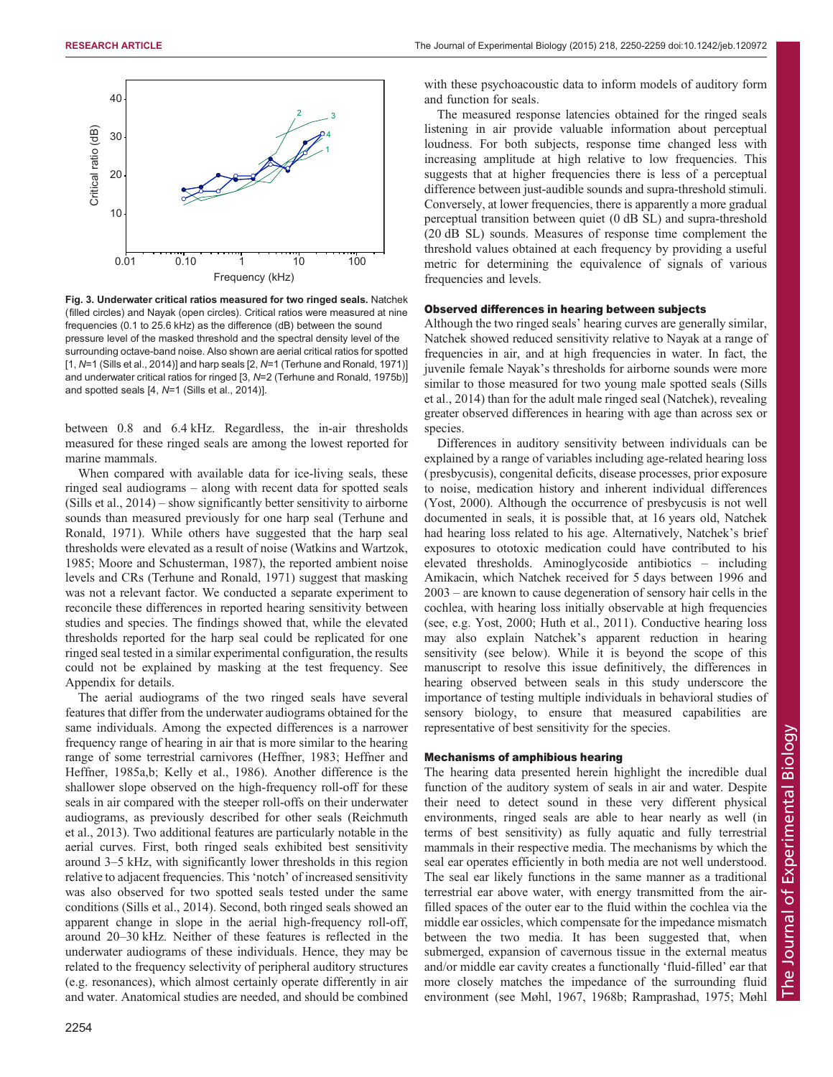<span id="page-4-0"></span>

Fig. 3. Underwater critical ratios measured for two ringed seals. Natchek (filled circles) and Nayak (open circles). Critical ratios were measured at nine frequencies (0.1 to 25.6 kHz) as the difference (dB) between the sound pressure level of the masked threshold and the spectral density level of the surrounding octave-band noise. Also shown are aerial critical ratios for spotted [1, N=1 ([Sills et al., 2014](#page-8-0))] and harp seals [2, N=1 [\(Terhune and Ronald, 1971\)](#page-9-0)] and underwater critical ratios for ringed [3, N=2 [\(Terhune and Ronald, 1975b\)](#page-9-0)] and spotted seals [4, N=1 [\(Sills et al., 2014\)](#page-8-0)].

between 0.8 and 6.4 kHz. Regardless, the in-air thresholds measured for these ringed seals are among the lowest reported for marine mammals.

When compared with available data for ice-living seals, these ringed seal audiograms – along with recent data for spotted seals [\(Sills et al., 2014\)](#page-8-0) – show significantly better sensitivity to airborne sounds than measured previously for one harp seal ([Terhune and](#page-9-0) [Ronald, 1971](#page-9-0)). While others have suggested that the harp seal thresholds were elevated as a result of noise ([Watkins and Wartzok,](#page-9-0) [1985](#page-9-0); [Moore and Schusterman, 1987\)](#page-8-0), the reported ambient noise levels and CRs ([Terhune and Ronald, 1971\)](#page-9-0) suggest that masking was not a relevant factor. We conducted a separate experiment to reconcile these differences in reported hearing sensitivity between studies and species. The findings showed that, while the elevated thresholds reported for the harp seal could be replicated for one ringed seal tested in a similar experimental configuration, the results could not be explained by masking at the test frequency. See Appendix for details.

The aerial audiograms of the two ringed seals have several features that differ from the underwater audiograms obtained for the same individuals. Among the expected differences is a narrower frequency range of hearing in air that is more similar to the hearing range of some terrestrial carnivores ([Heffner, 1983](#page-8-0); [Heffner and](#page-8-0) [Heffner, 1985a,b](#page-8-0); [Kelly et al., 1986](#page-8-0)). Another difference is the shallower slope observed on the high-frequency roll-off for these seals in air compared with the steeper roll-offs on their underwater audiograms, as previously described for other seals ([Reichmuth](#page-8-0) [et al., 2013](#page-8-0)). Two additional features are particularly notable in the aerial curves. First, both ringed seals exhibited best sensitivity around 3–5 kHz, with significantly lower thresholds in this region relative to adjacent frequencies. This 'notch' of increased sensitivity was also observed for two spotted seals tested under the same conditions ([Sills et al., 2014\)](#page-8-0). Second, both ringed seals showed an apparent change in slope in the aerial high-frequency roll-off, around 20–30 kHz. Neither of these features is reflected in the underwater audiograms of these individuals. Hence, they may be related to the frequency selectivity of peripheral auditory structures (e.g. resonances), which almost certainly operate differently in air and water. Anatomical studies are needed, and should be combined

with these psychoacoustic data to inform models of auditory form and function for seals.

The measured response latencies obtained for the ringed seals listening in air provide valuable information about perceptual loudness. For both subjects, response time changed less with increasing amplitude at high relative to low frequencies. This suggests that at higher frequencies there is less of a perceptual difference between just-audible sounds and supra-threshold stimuli. Conversely, at lower frequencies, there is apparently a more gradual perceptual transition between quiet (0 dB SL) and supra-threshold (20 dB SL) sounds. Measures of response time complement the threshold values obtained at each frequency by providing a useful metric for determining the equivalence of signals of various frequencies and levels.

#### Observed differences in hearing between subjects

Although the two ringed seals' hearing curves are generally similar, Natchek showed reduced sensitivity relative to Nayak at a range of frequencies in air, and at high frequencies in water. In fact, the juvenile female Nayak's thresholds for airborne sounds were more similar to those measured for two young male spotted seals [\(Sills](#page-8-0) [et al., 2014](#page-8-0)) than for the adult male ringed seal (Natchek), revealing greater observed differences in hearing with age than across sex or species.

Differences in auditory sensitivity between individuals can be explained by a range of variables including age-related hearing loss ( presbycusis), congenital deficits, disease processes, prior exposure to noise, medication history and inherent individual differences [\(Yost, 2000](#page-9-0)). Although the occurrence of presbycusis is not well documented in seals, it is possible that, at 16 years old, Natchek had hearing loss related to his age. Alternatively, Natchek's brief exposures to ototoxic medication could have contributed to his elevated thresholds. Aminoglycoside antibiotics – including Amikacin, which Natchek received for 5 days between 1996 and 2003 – are known to cause degeneration of sensory hair cells in the cochlea, with hearing loss initially observable at high frequencies (see, e.g. [Yost, 2000](#page-9-0); [Huth et al., 2011\)](#page-8-0). Conductive hearing loss may also explain Natchek's apparent reduction in hearing sensitivity (see below). While it is beyond the scope of this manuscript to resolve this issue definitively, the differences in hearing observed between seals in this study underscore the importance of testing multiple individuals in behavioral studies of sensory biology, to ensure that measured capabilities are representative of best sensitivity for the species.

#### Mechanisms of amphibious hearing

The hearing data presented herein highlight the incredible dual function of the auditory system of seals in air and water. Despite their need to detect sound in these very different physical environments, ringed seals are able to hear nearly as well (in terms of best sensitivity) as fully aquatic and fully terrestrial mammals in their respective media. The mechanisms by which the seal ear operates efficiently in both media are not well understood. The seal ear likely functions in the same manner as a traditional terrestrial ear above water, with energy transmitted from the airfilled spaces of the outer ear to the fluid within the cochlea via the middle ear ossicles, which compensate for the impedance mismatch between the two media. It has been suggested that, when submerged, expansion of cavernous tissue in the external meatus and/or middle ear cavity creates a functionally 'fluid-filled' ear that more closely matches the impedance of the surrounding fluid environment (see [Møhl, 1967, 1968b](#page-8-0); [Ramprashad, 1975](#page-8-0); [Møhl](#page-8-0)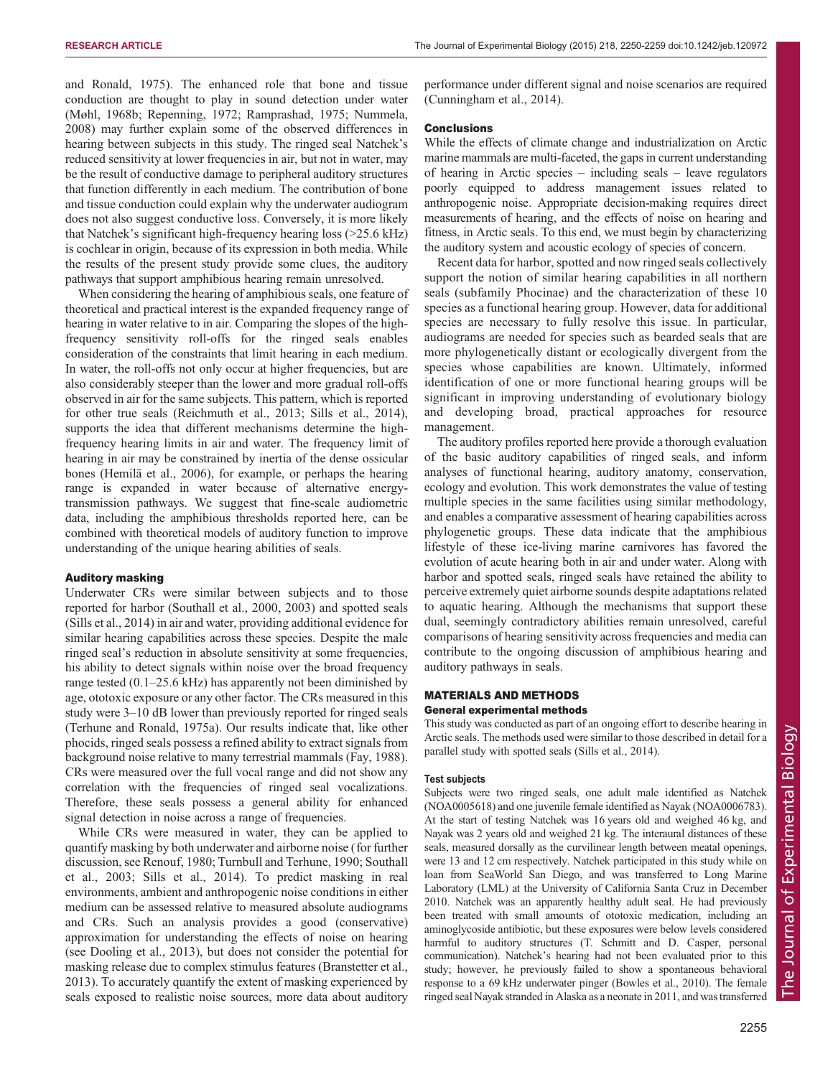[and Ronald, 1975\)](#page-8-0). The enhanced role that bone and tissue conduction are thought to play in sound detection under water [\(Møhl, 1968b; Repenning, 1972; Ramprashad, 1975; Nummela,](#page-8-0) [2008](#page-8-0)) may further explain some of the observed differences in hearing between subjects in this study. The ringed seal Natchek's reduced sensitivity at lower frequencies in air, but not in water, may be the result of conductive damage to peripheral auditory structures that function differently in each medium. The contribution of bone and tissue conduction could explain why the underwater audiogram does not also suggest conductive loss. Conversely, it is more likely that Natchek's significant high-frequency hearing loss (>25.6 kHz) is cochlear in origin, because of its expression in both media. While the results of the present study provide some clues, the auditory pathways that support amphibious hearing remain unresolved.

When considering the hearing of amphibious seals, one feature of theoretical and practical interest is the expanded frequency range of hearing in water relative to in air. Comparing the slopes of the highfrequency sensitivity roll-offs for the ringed seals enables consideration of the constraints that limit hearing in each medium. In water, the roll-offs not only occur at higher frequencies, but are also considerably steeper than the lower and more gradual roll-offs observed in air for the same subjects. This pattern, which is reported for other true seals ([Reichmuth et al., 2013](#page-8-0); [Sills et al., 2014\)](#page-8-0), supports the idea that different mechanisms determine the highfrequency hearing limits in air and water. The frequency limit of hearing in air may be constrained by inertia of the dense ossicular bones ([Hemilä et al., 2006](#page-8-0)), for example, or perhaps the hearing range is expanded in water because of alternative energytransmission pathways. We suggest that fine-scale audiometric data, including the amphibious thresholds reported here, can be combined with theoretical models of auditory function to improve understanding of the unique hearing abilities of seals.

#### Auditory masking

Underwater CRs were similar between subjects and to those reported for harbor ([Southall et al., 2000, 2003\)](#page-8-0) and spotted seals [\(Sills et al., 2014](#page-8-0)) in air and water, providing additional evidence for similar hearing capabilities across these species. Despite the male ringed seal's reduction in absolute sensitivity at some frequencies, his ability to detect signals within noise over the broad frequency range tested (0.1–25.6 kHz) has apparently not been diminished by age, ototoxic exposure or any other factor. The CRs measured in this study were 3–10 dB lower than previously reported for ringed seals [\(Terhune and Ronald, 1975a\)](#page-9-0). Our results indicate that, like other phocids, ringed seals possess a refined ability to extract signals from background noise relative to many terrestrial mammals [\(Fay, 1988\)](#page-8-0). CRs were measured over the full vocal range and did not show any correlation with the frequencies of ringed seal vocalizations. Therefore, these seals possess a general ability for enhanced signal detection in noise across a range of frequencies.

While CRs were measured in water, they can be applied to quantify masking by both underwater and airborne noise (for further discussion, see [Renouf, 1980;](#page-8-0) [Turnbull and Terhune, 1990](#page-9-0); [Southall](#page-8-0) [et al., 2003; Sills et al., 2014](#page-8-0)). To predict masking in real environments, ambient and anthropogenic noise conditions in either medium can be assessed relative to measured absolute audiograms and CRs. Such an analysis provides a good (conservative) approximation for understanding the effects of noise on hearing (see [Dooling et al., 2013\)](#page-8-0), but does not consider the potential for masking release due to complex stimulus features [\(Branstetter et al.,](#page-8-0) [2013](#page-8-0)). To accurately quantify the extent of masking experienced by seals exposed to realistic noise sources, more data about auditory

performance under different signal and noise scenarios are required [\(Cunningham et al., 2014](#page-8-0)).

## Conclusions

While the effects of climate change and industrialization on Arctic marine mammals are multi-faceted, the gaps in current understanding of hearing in Arctic species – including seals – leave regulators poorly equipped to address management issues related to anthropogenic noise. Appropriate decision-making requires direct measurements of hearing, and the effects of noise on hearing and fitness, in Arctic seals. To this end, we must begin by characterizing the auditory system and acoustic ecology of species of concern.

Recent data for harbor, spotted and now ringed seals collectively support the notion of similar hearing capabilities in all northern seals (subfamily Phocinae) and the characterization of these 10 species as a functional hearing group. However, data for additional species are necessary to fully resolve this issue. In particular, audiograms are needed for species such as bearded seals that are more phylogenetically distant or ecologically divergent from the species whose capabilities are known. Ultimately, informed identification of one or more functional hearing groups will be significant in improving understanding of evolutionary biology and developing broad, practical approaches for resource management.

The auditory profiles reported here provide a thorough evaluation of the basic auditory capabilities of ringed seals, and inform analyses of functional hearing, auditory anatomy, conservation, ecology and evolution. This work demonstrates the value of testing multiple species in the same facilities using similar methodology, and enables a comparative assessment of hearing capabilities across phylogenetic groups. These data indicate that the amphibious lifestyle of these ice-living marine carnivores has favored the evolution of acute hearing both in air and under water. Along with harbor and spotted seals, ringed seals have retained the ability to perceive extremely quiet airborne sounds despite adaptations related to aquatic hearing. Although the mechanisms that support these dual, seemingly contradictory abilities remain unresolved, careful comparisons of hearing sensitivity across frequencies and media can contribute to the ongoing discussion of amphibious hearing and auditory pathways in seals.

## MATERIALS AND METHODS General experimental methods

This study was conducted as part of an ongoing effort to describe hearing in Arctic seals. The methods used were similar to those described in detail for a parallel study with spotted seals [\(Sills et al., 2014\)](#page-8-0).

#### Test subjects

Subjects were two ringed seals, one adult male identified as Natchek (NOA0005618) and one juvenile female identified as Nayak (NOA0006783). At the start of testing Natchek was 16 years old and weighed 46 kg, and Nayak was 2 years old and weighed 21 kg. The interaural distances of these seals, measured dorsally as the curvilinear length between meatal openings, were 13 and 12 cm respectively. Natchek participated in this study while on loan from SeaWorld San Diego, and was transferred to Long Marine Laboratory (LML) at the University of California Santa Cruz in December 2010. Natchek was an apparently healthy adult seal. He had previously been treated with small amounts of ototoxic medication, including an aminoglycoside antibiotic, but these exposures were below levels considered harmful to auditory structures (T. Schmitt and D. Casper, personal communication). Natchek's hearing had not been evaluated prior to this study; however, he previously failed to show a spontaneous behavioral response to a 69 kHz underwater pinger ([Bowles et al., 2010](#page-8-0)). The female ringed seal Nayak stranded in Alaska as a neonate in 2011, and was transferred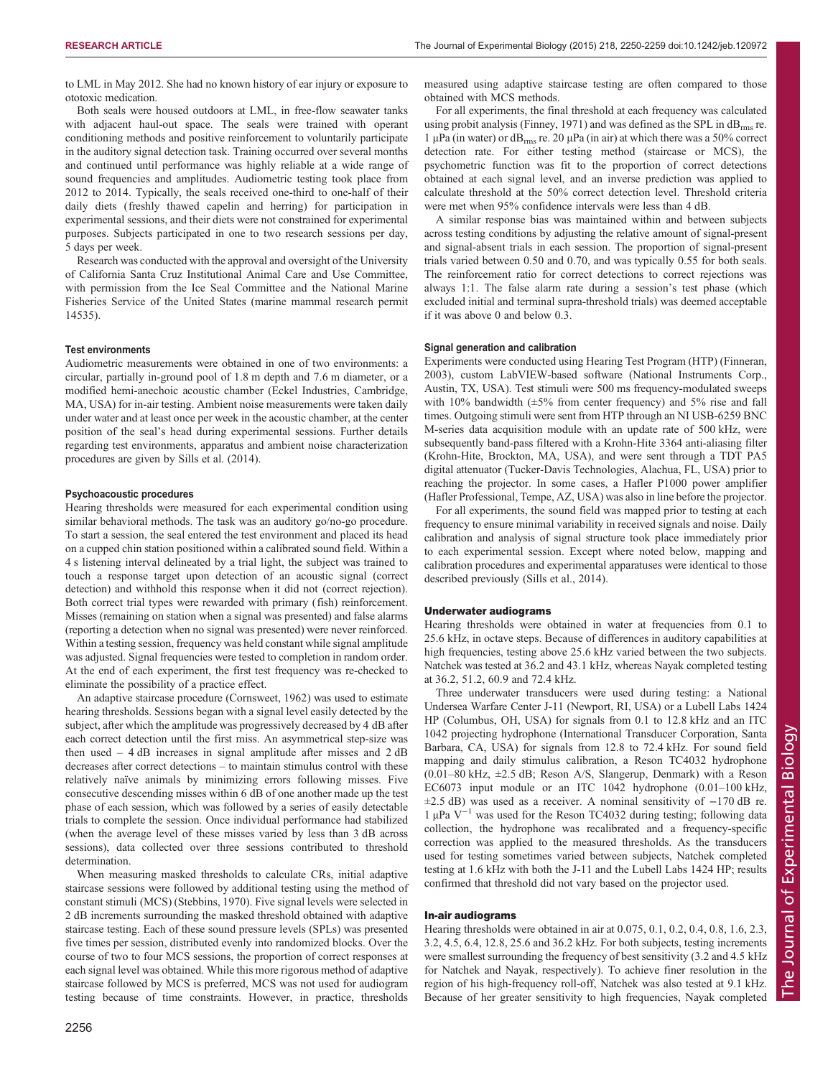to LML in May 2012. She had no known history of ear injury or exposure to ototoxic medication.

Both seals were housed outdoors at LML, in free-flow seawater tanks with adjacent haul-out space. The seals were trained with operant conditioning methods and positive reinforcement to voluntarily participate in the auditory signal detection task. Training occurred over several months and continued until performance was highly reliable at a wide range of sound frequencies and amplitudes. Audiometric testing took place from 2012 to 2014. Typically, the seals received one-third to one-half of their daily diets (freshly thawed capelin and herring) for participation in experimental sessions, and their diets were not constrained for experimental purposes. Subjects participated in one to two research sessions per day, 5 days per week.

Research was conducted with the approval and oversight of the University of California Santa Cruz Institutional Animal Care and Use Committee, with permission from the Ice Seal Committee and the National Marine Fisheries Service of the United States (marine mammal research permit 14535).

#### Test environments

Audiometric measurements were obtained in one of two environments: a circular, partially in-ground pool of 1.8 m depth and 7.6 m diameter, or a modified hemi-anechoic acoustic chamber (Eckel Industries, Cambridge, MA, USA) for in-air testing. Ambient noise measurements were taken daily under water and at least once per week in the acoustic chamber, at the center position of the seal's head during experimental sessions. Further details regarding test environments, apparatus and ambient noise characterization procedures are given by [Sills et al. \(2014](#page-8-0)).

## Psychoacoustic procedures

Hearing thresholds were measured for each experimental condition using similar behavioral methods. The task was an auditory go/no-go procedure. To start a session, the seal entered the test environment and placed its head on a cupped chin station positioned within a calibrated sound field. Within a 4 s listening interval delineated by a trial light, the subject was trained to touch a response target upon detection of an acoustic signal (correct detection) and withhold this response when it did not (correct rejection). Both correct trial types were rewarded with primary (fish) reinforcement. Misses (remaining on station when a signal was presented) and false alarms (reporting a detection when no signal was presented) were never reinforced. Within a testing session, frequency was held constant while signal amplitude was adjusted. Signal frequencies were tested to completion in random order. At the end of each experiment, the first test frequency was re-checked to eliminate the possibility of a practice effect.

An adaptive staircase procedure ([Cornsweet, 1962\)](#page-8-0) was used to estimate hearing thresholds. Sessions began with a signal level easily detected by the subject, after which the amplitude was progressively decreased by 4 dB after each correct detection until the first miss. An asymmetrical step-size was then used  $-4$  dB increases in signal amplitude after misses and  $2$  dB decreases after correct detections – to maintain stimulus control with these relatively naïve animals by minimizing errors following misses. Five consecutive descending misses within 6 dB of one another made up the test phase of each session, which was followed by a series of easily detectable trials to complete the session. Once individual performance had stabilized (when the average level of these misses varied by less than 3 dB across sessions), data collected over three sessions contributed to threshold determination.

When measuring masked thresholds to calculate CRs, initial adaptive staircase sessions were followed by additional testing using the method of constant stimuli (MCS) ([Stebbins, 1970\)](#page-9-0). Five signal levels were selected in 2 dB increments surrounding the masked threshold obtained with adaptive staircase testing. Each of these sound pressure levels (SPLs) was presented five times per session, distributed evenly into randomized blocks. Over the course of two to four MCS sessions, the proportion of correct responses at each signal level was obtained. While this more rigorous method of adaptive staircase followed by MCS is preferred, MCS was not used for audiogram testing because of time constraints. However, in practice, thresholds

measured using adaptive staircase testing are often compared to those obtained with MCS methods.

For all experiments, the final threshold at each frequency was calculated using probit analysis [\(Finney, 1971](#page-8-0)) and was defined as the SPL in  $dB_{rms}$  re. 1 μPa (in water) or dB<sub>rms</sub> re. 20 μPa (in air) at which there was a 50% correct detection rate. For either testing method (staircase or MCS), the psychometric function was fit to the proportion of correct detections obtained at each signal level, and an inverse prediction was applied to calculate threshold at the 50% correct detection level. Threshold criteria were met when 95% confidence intervals were less than 4 dB.

A similar response bias was maintained within and between subjects across testing conditions by adjusting the relative amount of signal-present and signal-absent trials in each session. The proportion of signal-present trials varied between 0.50 and 0.70, and was typically 0.55 for both seals. The reinforcement ratio for correct detections to correct rejections was always 1:1. The false alarm rate during a session's test phase (which excluded initial and terminal supra-threshold trials) was deemed acceptable if it was above 0 and below 0.3.

#### Signal generation and calibration

Experiments were conducted using Hearing Test Program (HTP) [\(Finneran,](#page-8-0) [2003\)](#page-8-0), custom LabVIEW-based software (National Instruments Corp., Austin, TX, USA). Test stimuli were 500 ms frequency-modulated sweeps with  $10\%$  bandwidth ( $\pm 5\%$  from center frequency) and  $5\%$  rise and fall times. Outgoing stimuli were sent from HTP through an NI USB-6259 BNC M-series data acquisition module with an update rate of 500 kHz, were subsequently band-pass filtered with a Krohn-Hite 3364 anti-aliasing filter (Krohn-Hite, Brockton, MA, USA), and were sent through a TDT PA5 digital attenuator (Tucker-Davis Technologies, Alachua, FL, USA) prior to reaching the projector. In some cases, a Hafler P1000 power amplifier (Hafler Professional, Tempe, AZ, USA) was also in line before the projector.

For all experiments, the sound field was mapped prior to testing at each frequency to ensure minimal variability in received signals and noise. Daily calibration and analysis of signal structure took place immediately prior to each experimental session. Except where noted below, mapping and calibration procedures and experimental apparatuses were identical to those described previously [\(Sills et al., 2014](#page-8-0)).

#### Underwater audiograms

Hearing thresholds were obtained in water at frequencies from 0.1 to 25.6 kHz, in octave steps. Because of differences in auditory capabilities at high frequencies, testing above 25.6 kHz varied between the two subjects. Natchek was tested at 36.2 and 43.1 kHz, whereas Nayak completed testing at 36.2, 51.2, 60.9 and 72.4 kHz.

Three underwater transducers were used during testing: a National Undersea Warfare Center J-11 (Newport, RI, USA) or a Lubell Labs 1424 HP (Columbus, OH, USA) for signals from 0.1 to 12.8 kHz and an ITC 1042 projecting hydrophone (International Transducer Corporation, Santa Barbara, CA, USA) for signals from 12.8 to 72.4 kHz. For sound field mapping and daily stimulus calibration, a Reson TC4032 hydrophone (0.01–80 kHz, ±2.5 dB; Reson A/S, Slangerup, Denmark) with a Reson EC6073 input module or an ITC 1042 hydrophone (0.01–100 kHz, ±2.5 dB) was used as a receiver. A nominal sensitivity of −170 dB re. 1 μPa  $V^{-1}$  was used for the Reson TC4032 during testing; following data collection, the hydrophone was recalibrated and a frequency-specific correction was applied to the measured thresholds. As the transducers used for testing sometimes varied between subjects, Natchek completed testing at 1.6 kHz with both the J-11 and the Lubell Labs 1424 HP; results confirmed that threshold did not vary based on the projector used.

#### In-air audiograms

Hearing thresholds were obtained in air at 0.075, 0.1, 0.2, 0.4, 0.8, 1.6, 2.3, 3.2, 4.5, 6.4, 12.8, 25.6 and 36.2 kHz. For both subjects, testing increments were smallest surrounding the frequency of best sensitivity (3.2 and 4.5 kHz for Natchek and Nayak, respectively). To achieve finer resolution in the region of his high-frequency roll-off, Natchek was also tested at 9.1 kHz. Because of her greater sensitivity to high frequencies, Nayak completed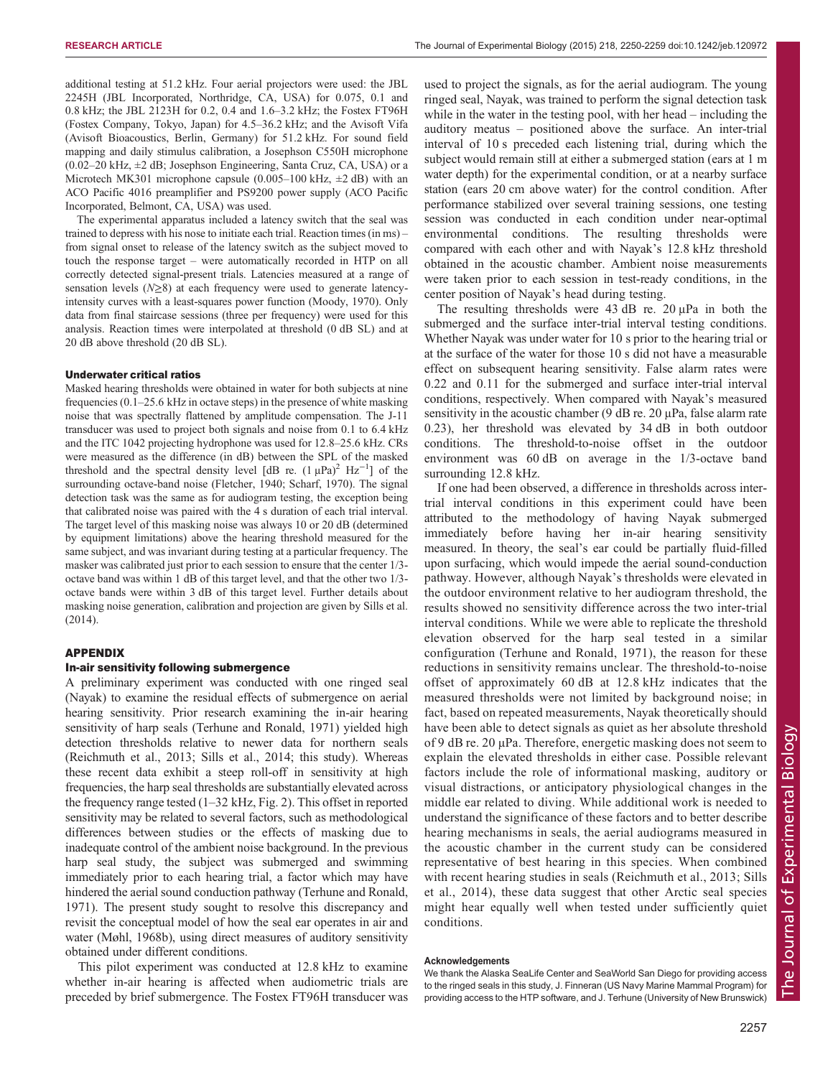additional testing at 51.2 kHz. Four aerial projectors were used: the JBL 2245H (JBL Incorporated, Northridge, CA, USA) for 0.075, 0.1 and 0.8 kHz; the JBL 2123H for 0.2, 0.4 and 1.6–3.2 kHz; the Fostex FT96H (Fostex Company, Tokyo, Japan) for 4.5–36.2 kHz; and the Avisoft Vifa (Avisoft Bioacoustics, Berlin, Germany) for 51.2 kHz. For sound field mapping and daily stimulus calibration, a Josephson C550H microphone (0.02–20 kHz, ±2 dB; Josephson Engineering, Santa Cruz, CA, USA) or a Microtech MK301 microphone capsule  $(0.005-100 \text{ kHz}, \pm 2 \text{ dB})$  with an ACO Pacific 4016 preamplifier and PS9200 power supply (ACO Pacific Incorporated, Belmont, CA, USA) was used.

The experimental apparatus included a latency switch that the seal was trained to depress with his nose to initiate each trial. Reaction times (in ms) – from signal onset to release of the latency switch as the subject moved to touch the response target – were automatically recorded in HTP on all correctly detected signal-present trials. Latencies measured at a range of sensation levels  $(N \ge 8)$  at each frequency were used to generate latencyintensity curves with a least-squares power function ([Moody, 1970\)](#page-8-0). Only data from final staircase sessions (three per frequency) were used for this analysis. Reaction times were interpolated at threshold (0 dB SL) and at 20 dB above threshold (20 dB SL).

# Underwater critical ratios

Masked hearing thresholds were obtained in water for both subjects at nine frequencies (0.1–25.6 kHz in octave steps) in the presence of white masking noise that was spectrally flattened by amplitude compensation. The J-11 transducer was used to project both signals and noise from 0.1 to 6.4 kHz and the ITC 1042 projecting hydrophone was used for 12.8–25.6 kHz. CRs were measured as the difference (in dB) between the SPL of the masked threshold and the spectral density level  $[dB \text{ re. } (1 \mu Pa)^2 \text{ Hz}^{-1}]$  of the surrounding octave-band noise [\(Fletcher, 1940; Scharf, 1970](#page-8-0)). The signal detection task was the same as for audiogram testing, the exception being that calibrated noise was paired with the 4 s duration of each trial interval. The target level of this masking noise was always 10 or 20 dB (determined by equipment limitations) above the hearing threshold measured for the same subject, and was invariant during testing at a particular frequency. The masker was calibrated just prior to each session to ensure that the center 1/3 octave band was within 1 dB of this target level, and that the other two 1/3 octave bands were within 3 dB of this target level. Further details about masking noise generation, calibration and projection are given by [Sills et al.](#page-8-0) [\(2014\)](#page-8-0).

## APPENDIX

## In-air sensitivity following submergence

A preliminary experiment was conducted with one ringed seal (Nayak) to examine the residual effects of submergence on aerial hearing sensitivity. Prior research examining the in-air hearing sensitivity of harp seals [\(Terhune and Ronald, 1971](#page-9-0)) yielded high detection thresholds relative to newer data for northern seals [\(Reichmuth et al., 2013](#page-8-0); [Sills et al., 2014;](#page-8-0) this study). Whereas these recent data exhibit a steep roll-off in sensitivity at high frequencies, the harp seal thresholds are substantially elevated across the frequency range tested (1–32 kHz, [Fig. 2](#page-3-0)). This offset in reported sensitivity may be related to several factors, such as methodological differences between studies or the effects of masking due to inadequate control of the ambient noise background. In the previous harp seal study, the subject was submerged and swimming immediately prior to each hearing trial, a factor which may have hindered the aerial sound conduction pathway [\(Terhune and Ronald,](#page-9-0) [1971\)](#page-9-0). The present study sought to resolve this discrepancy and revisit the conceptual model of how the seal ear operates in air and water [\(Møhl, 1968b\)](#page-8-0), using direct measures of auditory sensitivity obtained under different conditions.

This pilot experiment was conducted at 12.8 kHz to examine whether in-air hearing is affected when audiometric trials are preceded by brief submergence. The Fostex FT96H transducer was

used to project the signals, as for the aerial audiogram. The young ringed seal, Nayak, was trained to perform the signal detection task while in the water in the testing pool, with her head – including the auditory meatus – positioned above the surface. An inter-trial interval of 10 s preceded each listening trial, during which the subject would remain still at either a submerged station (ears at 1 m water depth) for the experimental condition, or at a nearby surface station (ears 20 cm above water) for the control condition. After performance stabilized over several training sessions, one testing session was conducted in each condition under near-optimal environmental conditions. The resulting thresholds were compared with each other and with Nayak's 12.8 kHz threshold obtained in the acoustic chamber. Ambient noise measurements were taken prior to each session in test-ready conditions, in the center position of Nayak's head during testing.

The resulting thresholds were  $43$  dB re.  $20 \mu Pa$  in both the submerged and the surface inter-trial interval testing conditions. Whether Nayak was under water for 10 s prior to the hearing trial or at the surface of the water for those 10 s did not have a measurable effect on subsequent hearing sensitivity. False alarm rates were 0.22 and 0.11 for the submerged and surface inter-trial interval conditions, respectively. When compared with Nayak's measured sensitivity in the acoustic chamber (9 dB re. 20 μPa, false alarm rate 0.23), her threshold was elevated by 34 dB in both outdoor conditions. The threshold-to-noise offset in the outdoor environment was 60 dB on average in the 1/3-octave band surrounding 12.8 kHz.

If one had been observed, a difference in thresholds across intertrial interval conditions in this experiment could have been attributed to the methodology of having Nayak submerged immediately before having her in-air hearing sensitivity measured. In theory, the seal's ear could be partially fluid-filled upon surfacing, which would impede the aerial sound-conduction pathway. However, although Nayak's thresholds were elevated in the outdoor environment relative to her audiogram threshold, the results showed no sensitivity difference across the two inter-trial interval conditions. While we were able to replicate the threshold elevation observed for the harp seal tested in a similar configuration ([Terhune and Ronald, 1971\)](#page-9-0), the reason for these reductions in sensitivity remains unclear. The threshold-to-noise offset of approximately 60 dB at 12.8 kHz indicates that the measured thresholds were not limited by background noise; in fact, based on repeated measurements, Nayak theoretically should have been able to detect signals as quiet as her absolute threshold of 9 dB re. 20 µPa. Therefore, energetic masking does not seem to explain the elevated thresholds in either case. Possible relevant factors include the role of informational masking, auditory or visual distractions, or anticipatory physiological changes in the middle ear related to diving. While additional work is needed to understand the significance of these factors and to better describe hearing mechanisms in seals, the aerial audiograms measured in the acoustic chamber in the current study can be considered representative of best hearing in this species. When combined with recent hearing studies in seals [\(Reichmuth et al., 2013; Sills](#page-8-0) [et al., 2014\)](#page-8-0), these data suggest that other Arctic seal species might hear equally well when tested under sufficiently quiet conditions.

#### Acknowledgements

We thank the Alaska SeaLife Center and SeaWorld San Diego for providing access to the ringed seals in this study, J. Finneran (US Navy Marine Mammal Program) for providing access to the HTP software, and J. Terhune (University of New Brunswick)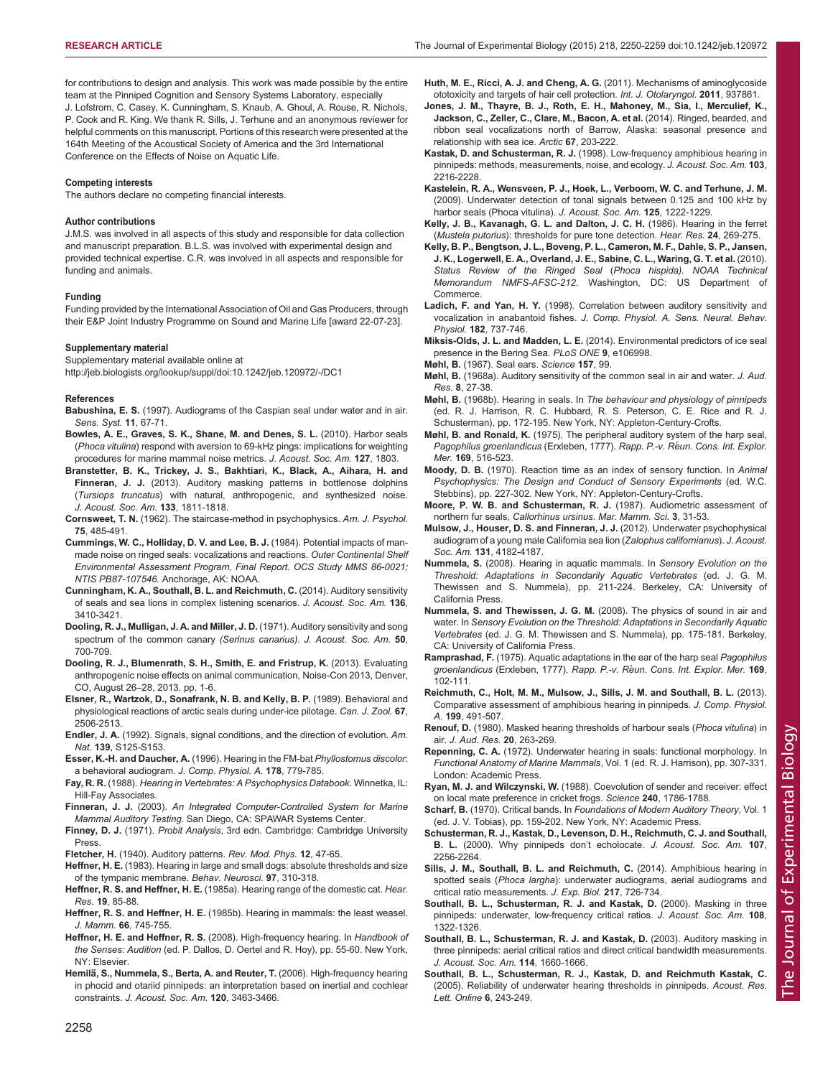<span id="page-8-0"></span>for contributions to design and analysis. This work was made possible by the entire team at the Pinniped Cognition and Sensory Systems Laboratory, especially J. Lofstrom, C. Casey, K. Cunningham, S. Knaub, A. Ghoul, A. Rouse, R. Nichols, P. Cook and R. King. We thank R. Sills, J. Terhune and an anonymous reviewer for helpful comments on this manuscript. Portions of this research were presented at the 164th Meeting of the Acoustical Society of America and the 3rd International Conference on the Effects of Noise on Aquatic Life.

#### Competing interests

The authors declare no competing financial interests.

#### Author contributions

J.M.S. was involved in all aspects of this study and responsible for data collection and manuscript preparation. B.L.S. was involved with experimental design and provided technical expertise. C.R. was involved in all aspects and responsible for funding and animals.

#### Funding

Funding provided by the International Association of Oil and Gas Producers, through their E&P Joint Industry Programme on Sound and Marine Life [award 22-07-23].

#### Supplementary material

Supplementary material available online at

<http://jeb.biologists.org/lookup/suppl/doi:10.1242/jeb.120972/-/DC1>

#### References

- Babushina, E. S. (1997). Audiograms of the Caspian seal under water and in air. Sens. Syst. 11, 67-71.
- [Bowles, A. E., Graves, S. K., Shane, M. and Denes, S. L.](http://dx.doi.org/10.1121/1.3384072) (2010). Harbor seals (Phoca vitulina[\) respond with aversion to 69-kHz pings: implications for weighting](http://dx.doi.org/10.1121/1.3384072) [procedures for marine mammal noise metrics.](http://dx.doi.org/10.1121/1.3384072) J. Acoust. Soc. Am. 127, 1803.
- [Branstetter, B. K., Trickey, J. S., Bakhtiari, K., Black, A., Aihara, H. and](http://dx.doi.org/10.1121/1.4789939) Finneran, J. J. [\(2013\). Auditory masking patterns in bottlenose dolphins](http://dx.doi.org/10.1121/1.4789939) (Tursiops truncatus[\) with natural, anthropogenic, and synthesized noise.](http://dx.doi.org/10.1121/1.4789939) [J. Acoust. Soc. Am.](http://dx.doi.org/10.1121/1.4789939) 133, 1811-1818.
- Cornsweet, T. N. [\(1962\). The staircase-method in psychophysics.](http://dx.doi.org/10.2307/1419876) Am. J. Psychol. 75[, 485-491.](http://dx.doi.org/10.2307/1419876)
- Cummings, W. C., Holliday, D. V. and Lee, B. J. (1984). Potential impacts of manmade noise on ringed seals: vocalizations and reactions. Outer Continental Shelf Environmental Assessment Program, Final Report. OCS Study MMS 86-0021; NTIS PB87-107546. Anchorage, AK: NOAA.
- [Cunningham, K. A., Southall, B. L. and Reichmuth, C.](http://dx.doi.org/10.1121/1.4900568) (2014). Auditory sensitivity [of seals and sea lions in complex listening scenarios.](http://dx.doi.org/10.1121/1.4900568) J. Acoust. Soc. Am. 136, [3410-3421.](http://dx.doi.org/10.1121/1.4900568)
- [Dooling, R. J., Mulligan, J. A. and Miller, J. D.](http://dx.doi.org/10.1121/1.1912686) (1971). Auditory sensitivity and song spectrum of the common canary [\(Serinus canarius\). J. Acoust. Soc. Am.](http://dx.doi.org/10.1121/1.1912686) 50, [700-709.](http://dx.doi.org/10.1121/1.1912686)
- Dooling, R. J., Blumenrath, S. H., Smith, E. and Fristrup, K. (2013). Evaluating anthropogenic noise effects on animal communication, Noise-Con 2013, Denver, CO, August 26–28, 2013. pp. 1-6.
- [Elsner, R., Wartzok, D., Sonafrank, N. B. and Kelly, B. P.](http://dx.doi.org/10.1139/z89-354) (1989). Behavioral and [physiological reactions of arctic seals during under-ice pilotage.](http://dx.doi.org/10.1139/z89-354) Can. J. Zool. 67, [2506-2513.](http://dx.doi.org/10.1139/z89-354)
- Endler, J. A. [\(1992\). Signals, signal conditions, and the direction of evolution.](http://dx.doi.org/10.1086/285308) Am. Nat. 139[, S125-S153.](http://dx.doi.org/10.1086/285308)
- [Esser, K.-H. and Daucher, A.](http://dx.doi.org/10.1007/bf00225826) (1996). Hearing in the FM-bat Phyllostomus discolor: [a behavioral audiogram.](http://dx.doi.org/10.1007/bf00225826) J. Comp. Physiol. A. 178, 779-785.
- Fay, R. R. (1988). Hearing in Vertebrates: A Psychophysics Databook. Winnetka, IL: Hill-Fay Associates.
- Finneran, J. J. (2003). An Integrated Computer-Controlled System for Marine Mammal Auditory Testing. San Diego, CA: SPAWAR Systems Center.
- Finney, D. J. (1971). Probit Analysis, 3rd edn. Cambridge: Cambridge University Press.
- Fletcher, H. [\(1940\). Auditory patterns.](http://dx.doi.org/10.1103/RevModPhys.12.47) Rev. Mod. Phys. 12, 47-65.
- Heffner, H. E. [\(1983\). Hearing in large and small dogs: absolute thresholds and size](http://dx.doi.org/10.1037/0735-7044.97.2.310) [of the tympanic membrane.](http://dx.doi.org/10.1037/0735-7044.97.2.310) Behav. Neurosci. 97, 310-318.
- Heffner, R. S. and Heffner, H. E. [\(1985a\). Hearing range of the domestic cat.](http://dx.doi.org/10.1016/0378-5955(85)90100-5) Hear. Res. 19[, 85-88.](http://dx.doi.org/10.1016/0378-5955(85)90100-5)
- Heffner, R. S. and Heffner, H. E. [\(1985b\). Hearing in mammals: the least weasel.](http://dx.doi.org/10.2307/1380801) J. Mamm. 66[, 745-755.](http://dx.doi.org/10.2307/1380801)
- Heffner, H. E. and Heffner, R. S. (2008). High-frequency hearing. In Handbook of the Senses: Audition (ed. P. Dallos, D. Oertel and R. Hoy), pp. 55-60. New York, NY: Elsevier.
- Hemilä[, S., Nummela, S., Berta, A. and Reuter, T.](http://dx.doi.org/10.1121/1.2372712) (2006). High-frequency hearing [in phocid and otariid pinnipeds: an interpretation based on inertial and cochlear](http://dx.doi.org/10.1121/1.2372712) constraints. [J. Acoust. Soc. Am.](http://dx.doi.org/10.1121/1.2372712) 120, 3463-3466.
- [Huth, M. E., Ricci, A. J. and Cheng, A. G.](http://dx.doi.org/10.1155/2011/937861) (2011). Mechanisms of aminoglycoside [ototoxicity and targets of hair cell protection.](http://dx.doi.org/10.1155/2011/937861) Int. J. Otolaryngol. 2011, 937861.
- [Jones, J. M., Thayre, B. J., Roth, E. H., Mahoney, M., Sia, I., Merculief, K.,](http://dx.doi.org/10.14430/arctic4388) [Jackson, C., Zeller, C., Clare, M., Bacon, A. et al.](http://dx.doi.org/10.14430/arctic4388) (2014). Ringed, bearded, and [ribbon seal vocalizations north of Barrow, Alaska: seasonal presence and](http://dx.doi.org/10.14430/arctic4388) [relationship with sea ice.](http://dx.doi.org/10.14430/arctic4388) Arctic 67, 203-222.
- Kastak, D. and Schusterman, R. J. [\(1998\). Low-frequency amphibious hearing in](http://dx.doi.org/10.1121/1.421367) [pinnipeds: methods, measurements, noise, and ecology.](http://dx.doi.org/10.1121/1.421367) J. Acoust. Soc. Am. 103, [2216-2228.](http://dx.doi.org/10.1121/1.421367)
- [Kastelein, R. A., Wensveen, P. J., Hoek, L., Verboom, W. C. and Terhune, J. M.](http://dx.doi.org/10.1121/1.3050283) [\(2009\). Underwater detection of tonal signals between 0.125 and 100 kHz by](http://dx.doi.org/10.1121/1.3050283) [harbor seals \(Phoca vitulina\).](http://dx.doi.org/10.1121/1.3050283) J. Acoust. Soc. Am. 125, 1222-1229.
- [Kelly, J. B., Kavanagh, G. L. and Dalton, J. C. H.](http://dx.doi.org/10.1016/0378-5955(86)90025-0) (1986). Hearing in the ferret (Mustela putorius[\): thresholds for pure tone detection.](http://dx.doi.org/10.1016/0378-5955(86)90025-0) Hear. Res. 24, 269-275.
- Kelly, B. P., Bengtson, J. L., Boveng, P. L., Cameron, M. F., Dahle, S. P., Jansen, J. K., Logerwell, E. A., Overland, J. E., Sabine, C. L., Waring, G. T. et al. (2010). Status Review of the Ringed Seal (Phoca hispida). NOAA Technical Memorandum NMFS-AFSC-212. Washington, DC: US Department of Commerce.
- Ladich, F. and Yan, H. Y. [\(1998\). Correlation between auditory sensitivity and](http://dx.doi.org/10.1007/s003590050218) vocalization in anabantoid fishes. [J. Comp. Physiol. A. Sens. Neural. Behav.](http://dx.doi.org/10.1007/s003590050218) Physiol. 182[, 737-746.](http://dx.doi.org/10.1007/s003590050218)
- Miksis-Olds, J. L. and Madden, L. E. [\(2014\). Environmental predictors of ice seal](http://dx.doi.org/10.1371/journal.pone.0106998) [presence in the Bering Sea.](http://dx.doi.org/10.1371/journal.pone.0106998) PLoS ONE 9, e106998.
- Møhl, B. [\(1967\). Seal ears.](http://dx.doi.org/10.1126/science.157.3784.99) Science 157, 99.
- Møhl, B. (1968a). Auditory sensitivity of the common seal in air and water. J. Aud. Res. 8, 27-38.
- Møhl, B. (1968b). Hearing in seals. In The behaviour and physiology of pinnipeds (ed. R. J. Harrison, R. C. Hubbard, R. S. Peterson, C. E. Rice and R. J. Schusterman), pp. 172-195. New York, NY: Appleton-Century-Crofts.
- Møhl, B. and Ronald, K. (1975). The peripheral auditory system of the harp seal, Pagophilus groenlandicus (Erxleben, 1777). Rapp. P.-v. Réun. Cons. Int. Explor. Mer. 169, 516-523.
- Moody, D. B. (1970). Reaction time as an index of sensory function. In Animal Psychophysics: The Design and Conduct of Sensory Experiments (ed. W.C. Stebbins), pp. 227-302. New York, NY: Appleton-Century-Crofts.
- [Moore, P. W. B. and Schusterman, R. J.](http://dx.doi.org/10.1111/j.1748-7692.1987.tb00150.x) (1987). Audiometric assessment of northern fur seals, [Callorhinus ursinus](http://dx.doi.org/10.1111/j.1748-7692.1987.tb00150.x). Mar. Mamm. Sci. 3, 31-53.
- [Mulsow, J., Houser, D. S. and Finneran, J. J.](http://dx.doi.org/10.1121/1.3699195) (2012). Underwater psychophysical [audiogram of a young male California sea lion \(](http://dx.doi.org/10.1121/1.3699195)Zalophus californianus). J. Acoust. Soc. Am. 131[, 4182-4187.](http://dx.doi.org/10.1121/1.3699195)
- Nummela, S. (2008). Hearing in aquatic mammals. In Sensory Evolution on the Threshold: Adaptations in Secondarily Aquatic Vertebrates (ed. J. G. M. Thewissen and S. Nummela), pp. 211-224. Berkeley, CA: University of California Press.
- Nummela, S. and Thewissen, J. G. M. (2008). The physics of sound in air and water. In Sensory Evolution on the Threshold: Adaptations in Secondarily Aquatic Vertebrates (ed. J. G. M. Thewissen and S. Nummela), pp. 175-181. Berkeley, CA: University of California Press.
- Ramprashad, F. (1975). Aquatic adaptations in the ear of the harp seal Pagophilus groenlandicus (Erxleben, 1777). Rapp. P.-v. Réun. Cons. Int. Explor. Mer. 169, 102-111.
- [Reichmuth, C., Holt, M. M., Mulsow, J., Sills, J. M. and Southall, B. L.](http://dx.doi.org/10.1007/s00359-013-0813-y) (2013). [Comparative assessment of amphibious hearing in pinnipeds.](http://dx.doi.org/10.1007/s00359-013-0813-y) J. Comp. Physiol. A. 199[, 491-507.](http://dx.doi.org/10.1007/s00359-013-0813-y)
- Renouf, D. (1980). Masked hearing thresholds of harbour seals (Phoca vitulina) in air. J. Aud. Res. 20, 263-269.
- Repenning, C. A. (1972). Underwater hearing in seals: functional morphology. In Functional Anatomy of Marine Mammals, Vol. 1 (ed. R. J. Harrison), pp. 307-331. London: Academic Press.
- Ryan, M. J. and Wilczynski, W. [\(1988\). Coevolution of sender and receiver: effect](http://dx.doi.org/10.1126/science.240.4860.1786) [on local mate preference in cricket frogs.](http://dx.doi.org/10.1126/science.240.4860.1786) Science 240, 1786-1788.
- Scharf, B. (1970). Critical bands. In Foundations of Modern Auditory Theory, Vol. 1 (ed. J. V. Tobias), pp. 159-202. New York, NY: Academic Press.
- [Schusterman, R. J., Kastak, D., Levenson, D. H., Reichmuth, C. J. and Southall,](http://dx.doi.org/10.1121/1.428506) B. L. [\(2000\). Why pinnipeds don](http://dx.doi.org/10.1121/1.428506)'t echolocate. J. Acoust. Soc. Am. 107, [2256-2264.](http://dx.doi.org/10.1121/1.428506)
- [Sills, J. M., Southall, B. L. and Reichmuth, C.](http://dx.doi.org/10.1242/jeb.097469) (2014). Amphibious hearing in spotted seals (Phoca largha[\): underwater audiograms, aerial audiograms and](http://dx.doi.org/10.1242/jeb.097469) [critical ratio measurements.](http://dx.doi.org/10.1242/jeb.097469) J. Exp. Biol. 217, 726-734.
- [Southall, B. L., Schusterman, R. J. and Kastak, D.](http://dx.doi.org/10.1121/1.1288409) (2000). Masking in three [pinnipeds: underwater, low-frequency critical ratios.](http://dx.doi.org/10.1121/1.1288409) J. Acoust. Soc. Am. 108, [1322-1326.](http://dx.doi.org/10.1121/1.1288409)
- [Southall, B. L., Schusterman, R. J. and Kastak, D.](http://dx.doi.org/10.1121/1.1587733) (2003). Auditory masking in [three pinnipeds: aerial critical ratios and direct critical bandwidth measurements.](http://dx.doi.org/10.1121/1.1587733) [J. Acoust. Soc. Am.](http://dx.doi.org/10.1121/1.1587733) 114, 1660-1666.
- [Southall, B. L., Schusterman, R. J., Kastak, D. and Reichmuth Kastak, C.](http://dx.doi.org/10.1121/1.1985956) [\(2005\). Reliability of underwater hearing thresholds in pinnipeds.](http://dx.doi.org/10.1121/1.1985956) Acoust. Res [Lett. Online](http://dx.doi.org/10.1121/1.1985956) 6, 243-249.

The Journal of Experimental Biology

tó

Journal

Le

Experimental

Biology